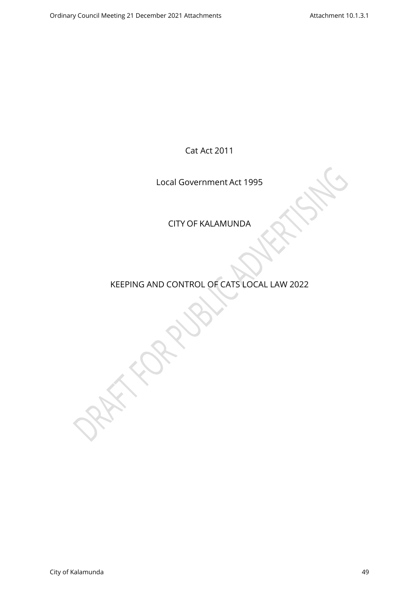Cat Act 2011

Local Government Act 1995

CITY OF KALAMUNDA

KEEPING AND CONTROL OF CATS LOCAL LAW 2022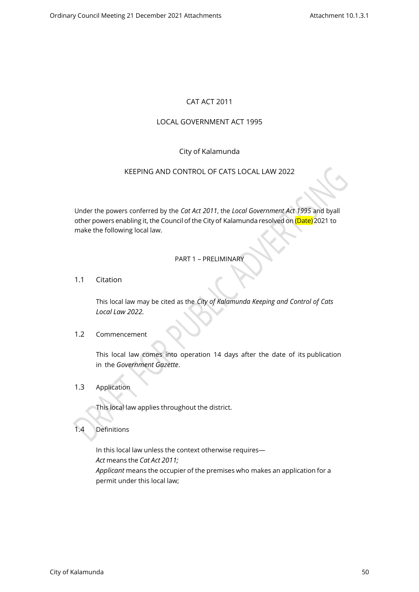# CAT ACT 2011

# LOCAL GOVERNMENT ACT 1995

# City of Kalamunda

## KEEPING AND CONTROL OF CATS LOCAL LAW 2022

Under the powers conferred by the *Cat Act 2011*, the *Local Government Act 1995* and byall other powers enabling it, the Council of the City of Kalamunda resolved on (Date) 2021 to make the following local law.

### PART 1 – PRELIMINARY

1.1 Citation

This local law may be cited as the *City of Kalamunda Keeping and Control of Cats Local Law 2022.*

### 1.2 Commencement

This local law comes into operation 14 days after the date of its publication in the *Government Gazette*.

1.3 Application

This local law applies throughout the district.

## 1.4 Definitions

In this local law unless the context otherwise requires— *Act* means the *Cat Act 2011; Applicant* means the occupier of the premises who makes an application for a permit under this local law;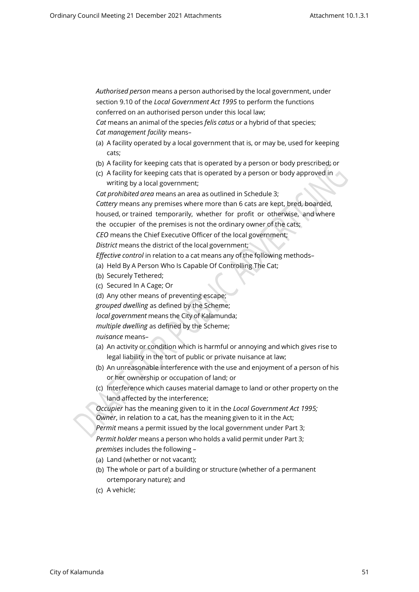*Authorised person* means a person authorised by the local government, under section 9.10 of the *Local Government Act 1995* to perform the functions conferred on an authorised person under this local law;

*Cat* means an animal of the species *felis catus* or a hybrid of that species; *Cat management facility* means–

- (a) A facility operated by a local government that is, or may be, used for keeping cats;
- (b) A facility for keeping cats that is operated by a person or body prescribed; or
- (c) A facility for keeping cats that is operated by a person or body approved in writing by a local government;

*Cat prohibited area* means an area as outlined in Schedule 3;

*Cattery* means any premises where more than 6 cats are kept, bred, boarded, housed, or trained temporarily, whether for profit or otherwise, and where the occupier of the premises is not the ordinary owner of the cats;

*CEO* means the Chief Executive Officer of the local government;

*District* means the district of the local government;

*Effective control* in relation to a cat means any of the following methods–

(a) Held By A Person Who Is Capable Of Controlling The Cat;

- (b) Securely Tethered;
- (c) Secured In A Cage; Or

(d) Any other means of preventing escape;

*grouped dwelling* as defined by the Scheme;

*local government* means the City of Kalamunda;

*multiple dwelling* as defined by the Scheme;

*nuisance* means–

- (a) An activity or condition which is harmful or annoying and which gives rise to legal liability in the tort of public or private nuisance at law;
- (b) An unreasonable interference with the use and enjoyment of a person of his or her ownership or occupation of land; or
- (c) Interference which causes material damage to land or other property on the land affected by the interference;

*Occupier* has the meaning given to it in the *Local Government Act 1995; Owner*, in relation to a cat, has the meaning given to it in the Act;

*Permit* means a permit issued by the local government under Part 3;

*Permit holder* means a person who holds a valid permit under Part 3; *premises* includes the following –

- (a) Land (whether or not vacant);
- (b) The whole or part of a building or structure (whether of a permanent ortemporary nature); and
- (c) A vehicle;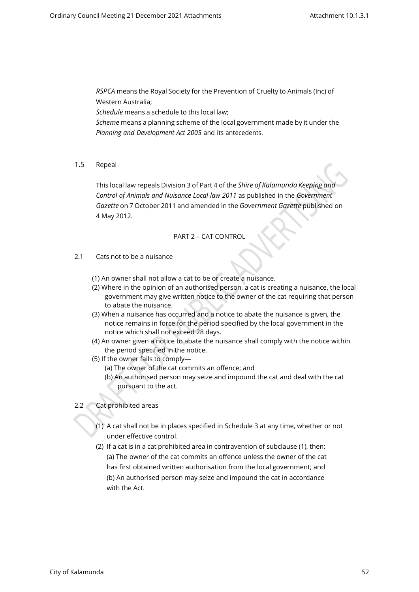*RSPCA* means the Royal Society for the Prevention of Cruelty to Animals (Inc) of Western Australia;

*Schedule* means a schedule to this local law;

*Scheme* means a planning scheme of the local government made by it under the *Planning and Development Act 2005* and its antecedents.

1.5 Repeal

This local law repeals Division 3 of Part 4 of the *Shire of Kalamunda Keeping and Control of Animals and Nuisance Local law 2011* as published in the *Government Gazette* on 7 October 2011 and amended in the *Government Gazette* published on 4 May 2012.

## PART 2 – CAT CONTROL

- 2.1 Cats not to be a nuisance
	- (1) An owner shall not allow a cat to be or create a nuisance.
	- (2) Where in the opinion of an authorised person, a cat is creating a nuisance, the local government may give written notice to the owner of the cat requiring that person to abate the nuisance.
	- (3) When a nuisance has occurred and a notice to abate the nuisance is given, the notice remains in force for the period specified by the local government in the notice which shall not exceed 28 days.
	- (4) An owner given a notice to abate the nuisance shall comply with the notice within the period specified in the notice.
	- (5) If the owner fails to comply—
		- (a) The owner of the cat commits an offence; and
		- (b) An authorised person may seize and impound the cat and deal with the cat pursuant to the act.
- 2.2 Cat prohibited areas
	- (1) A cat shall not be in places specified in Schedule 3 at any time, whether or not under effective control.
	- (2) If a cat is in a cat prohibited area in contravention of subclause (1), then: (a) The owner of the cat commits an offence unless the owner of the cat has first obtained written authorisation from the local government; and (b) An authorised person may seize and impound the cat in accordance with the Act.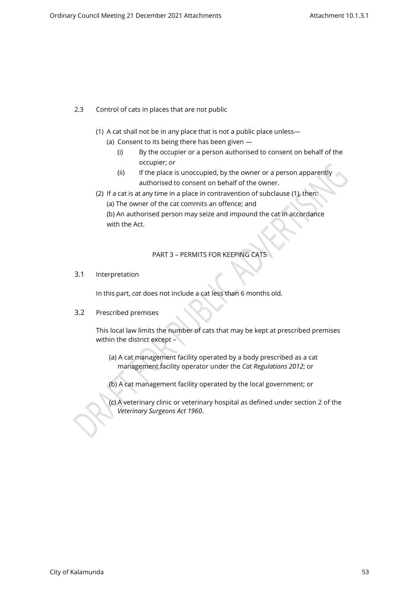- 2.3 Control of cats in places that are not public
	- (1) A cat shall not be in any place that is not a public place unless—
		- (a) Consent to its being there has been given
			- (i) By the occupier or a person authorised to consent on behalf of the occupier; or
			- (ii) If the place is unoccupied, by the owner or a person apparently authorised to consent on behalf of the owner.
	- (2) If a cat is at any time in a place in contravention of subclause (1), then: (a) The owner of the cat commits an offence; and (b) An authorised person may seize and impound the cat in accordance with the Act.

# PART 3 – PERMITS FOR KEEPING CATS

3.1 Interpretation

In this part, *cat* does not include a cat less than 6 months old.

3.2 Prescribed premises

This local law limits the number of cats that may be kept at prescribed premises within the district except –

- (a) A cat management facility operated by a body prescribed as a cat management facility operator under the *Cat Regulations 2012*; or
- (b) A cat management facility operated by the local government; or
- (c) A veterinary clinic or veterinary hospital as defined under section 2 of the *Veterinary Surgeons Act 1960*.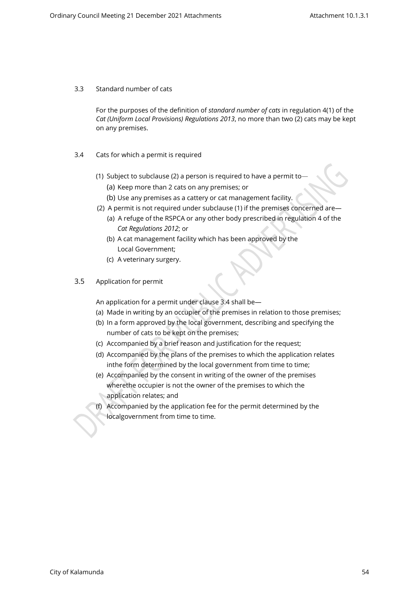#### 3.3 Standard number of cats

For the purposes of the definition of *standard number of cats* in regulation 4(1) of the *Cat (Uniform Local Provisions) Regulations 2013*, no more than two (2) cats may be kept on any premises.

- 3.4 Cats for which a permit is required
	- (1) Subject to subclause (2) a person is required to have a permit to—
		- (a) Keep more than 2 cats on any premises; or
		- (b) Use any premises as a cattery or cat management facility.
	- (2) A permit is not required under subclause (1) if the premises concerned are— (a) A refuge of the RSPCA or any other body prescribed in regulation 4 of the *Cat Regulations 2012*; or
		- (b) A cat management facility which has been approved by the Local Government;
		- (c) A veterinary surgery.
- 3.5 Application for permit

An application for a permit under clause 3.4 shall be—

- (a) Made in writing by an occupier of the premises in relation to those premises;
- (b) In a form approved by the local government, describing and specifying the number of cats to be kept on the premises;
- (c) Accompanied by a brief reason and justification for the request;
- (d) Accompanied by the plans of the premises to which the application relates in the form determined by the local government from time to time;
- (e) Accompanied by the consent in writing of the owner of the premises where the occupier is not the owner of the premises to which the application relates; and
- (f) Accompanied by the application fee for the permit determined by the localgovernment from time to time.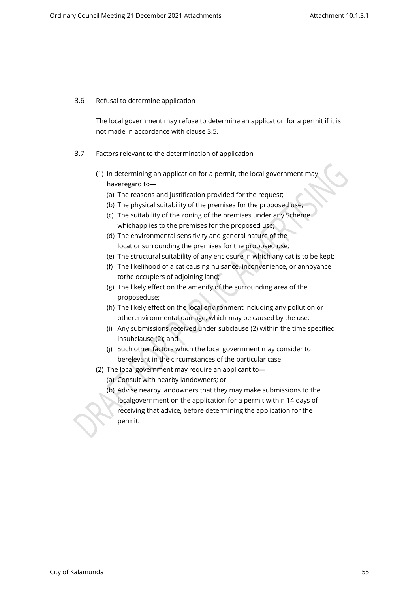### 3.6 Refusal to determine application

The local government may refuse to determine an application for a permit if it is not made in accordance with clause 3.5.

- 3.7 Factors relevant to the determination of application
	- (1) In determining an application for a permit, the local government may haveregard to-
		- (a) The reasons and justification provided for the request;
		- (b) The physical suitability of the premises for the proposed use;
		- (c) The suitability of the zoning of the premises under any Scheme which applies to the premises for the proposed use;
		- (d) The environmental sensitivity and general nature of the location surrounding the premises for the proposed use;
		- (e) The structural suitability of any enclosure in which any cat is to be kept;
		- (f) The likelihood of a cat causing nuisance, inconvenience, or annoyance to the occupiers of adjoining land;
		- (g) The likely effect on the amenity of the surrounding area of the proposeduse;
		- (h) The likely effect on the local environment including any pollution or other environmental damage, which may be caused by the use;
		- (i) Any submissions received under subclause (2) within the time specified in subclause (2); and
		- (j) Such other factors which the local government may consider to be relevant in the circumstances of the particular case.
	- (2) The local government may require an applicant to—
		- (a) Consult with nearby landowners; or
		- (b) Advise nearby landowners that they may make submissions to the local government on the application for a permit within 14 days of receiving that advice, before determining the application for the permit.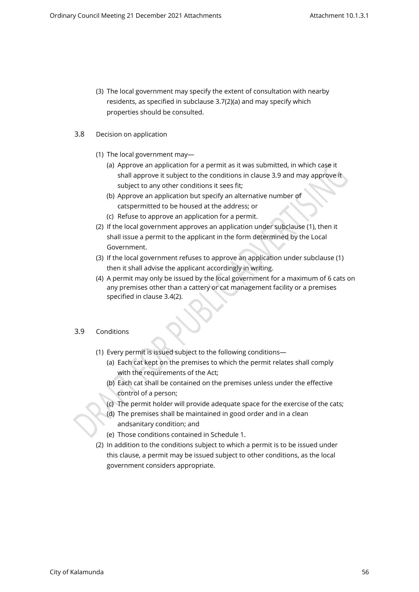(3) The local government may specify the extent of consultation with nearby residents, as specified in subclause 3.7(2)(a) and may specify which properties should be consulted.

### 3.8 Decision on application

- (1) The local government may—
	- (a) Approve an application for a permit as it was submitted, in which case it shall approve it subject to the conditions in clause 3.9 and may approve it subject to any other conditions it sees fit;
	- (b) Approve an application but specify an alternative number of cats permitted to be housed at the address; or
	- (c) Refuse to approve an application for a permit.
- (2) If the local government approves an application under subclause (1), then it shall issue a permit to the applicant in the form determined by the Local Government.
- (3) If the local government refuses to approve an application under subclause (1) then it shall advise the applicant accordingly in writing.
- (4) A permit may only be issued by the local government for a maximum of 6 cats on any premises other than a cattery or cat management facility or a premises specified in clause 3.4(2).

## 3.9 Conditions

- (1) Every permit is issued subject to the following conditions—
	- (a) Each cat kept on the premises to which the permit relates shall comply with the requirements of the Act;
	- (b) Each cat shall be contained on the premises unless under the effective control of a person;
	- (c) The permit holder will provide adequate space for the exercise of the cats;
	- (d) The premises shall be maintained in good order and in a clean and sanitary condition; and
	- (e) Those conditions contained in Schedule 1.
- (2) In addition to the conditions subject to which a permit is to be issued under this clause, a permit may be issued subject to other conditions, as the local government considers appropriate.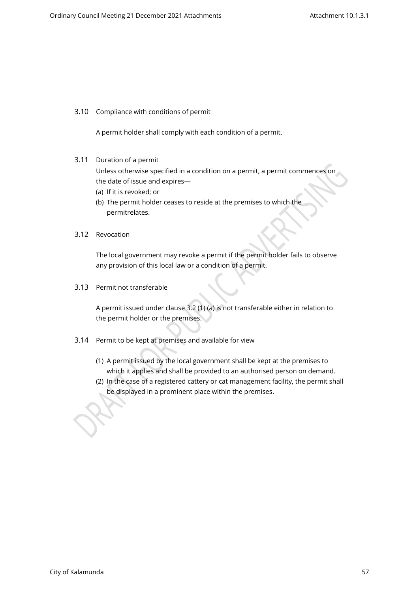3.10 Compliance with conditions of permit

A permit holder shall comply with each condition of a permit.

3.11 Duration of a permit

Unless otherwise specified in a condition on a permit, a permit commences on the date of issue and expires—

- (a) If it is revoked; or
- (b) The permit holder ceases to reside at the premises to which the permitrelates.
- 3.12 Revocation

The local government may revoke a permit if the permit holder fails to observe any provision of this local law or a condition of a permit.

3.13 Permit not transferable

A permit issued under clause 3.2 (1) (a) is not transferable either in relation to the permit holder or the premises.

- 3.14 Permit to be kept at premises and available for view
	- (1) A permit issued by the local government shall be kept at the premises to which it applies and shall be provided to an authorised person on demand.
	- (2) In the case of a registered cattery or cat management facility, the permit shall be displayed in a prominent place within the premises.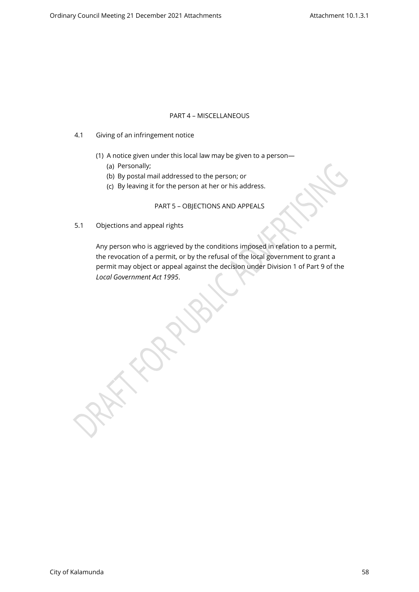#### PART 4 – MISCELLANEOUS

- 4.1 Giving of an infringement notice
	- (1) A notice given under this local law may be given to a person—
		- (a) Personally;
		- (b) By postal mail addressed to the person; or
		- (c) By leaving it for the person at her or his address.

PART 5 – OBJECTIONS AND APPEALS

5.1 Objections and appeal rights

Any person who is aggrieved by the conditions imposed in relation to a permit, the revocation of a permit, or by the refusal of the local government to grant a permit may object or appeal against the decision under Division 1 of Part 9 of the *Local Government Act 1995*.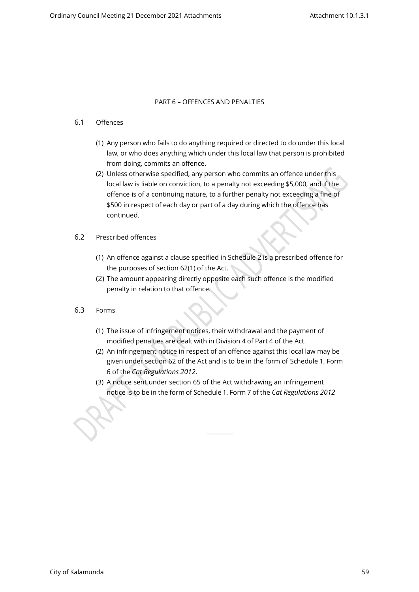#### PART 6 – OFFENCES AND PENALTIES

#### 6.1 Offences

- (1) Any person who fails to do anything required or directed to do under this local law, or who does anything which under this local law that person is prohibited from doing, commits an offence.
- (2) Unless otherwise specified, any person who commits an offence under this local law is liable on conviction, to a penalty not exceeding \$5,000, and if the offence is of a continuing nature, to a further penalty not exceeding a fine of \$500 in respect of each day or part of a day during which the offence has continued.
- 6.2 Prescribed offences
	- (1) An offence against a clause specified in Schedule 2 is a prescribed offence for the purposes of section 62(1) of the Act.
	- (2) The amount appearing directly opposite each such offence is the modified penalty in relation to that offence.
- 6.3 Forms
	- (1) The issue of infringement notices, their withdrawal and the payment of modified penalties are dealt with in Division 4 of Part 4 of the Act.
	- (2) An infringement notice in respect of an offence against this local law may be given under section 62 of the Act and is to be in the form of Schedule 1, Form 6 of the *Cat Regulations 2012*.
	- (3) A notice sent under section 65 of the Act withdrawing an infringement notice is to be in the form of Schedule 1, Form 7 of the *Cat Regulations 2012*

————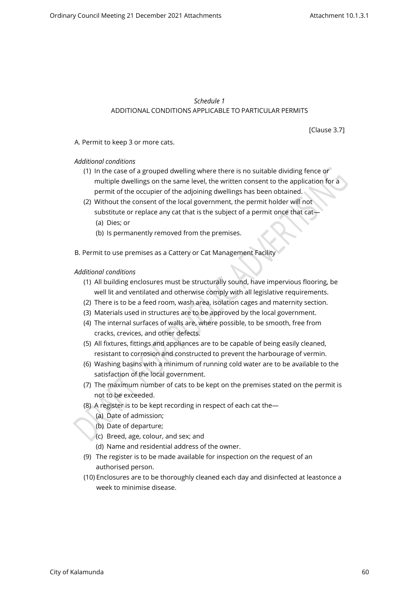### *Schedule 1* ADDITIONAL CONDITIONS APPLICABLE TO PARTICULAR PERMITS

[Clause 3.7]

A. Permit to keep 3 or more cats.

### *Additional conditions*

- (1) In the case of a grouped dwelling where there is no suitable dividing fence or multiple dwellings on the same level, the written consent to the application for a permit of the occupier of the adjoining dwellings has been obtained.
- (2) Without the consent of the local government, the permit holder will not substitute or replace any cat that is the subject of a permit once that cat— (a) Dies; or
	- (b) Is permanently removed from the premises.
- B. Permit to use premises as a Cattery or Cat Management Facility

#### *Additional conditions*

- (1) All building enclosures must be structurally sound, have impervious flooring, be well lit and ventilated and otherwise comply with all legislative requirements.
- (2) There is to be a feed room, wash area, isolation cages and maternity section.
- (3) Materials used in structures are to be approved by the local government.
- (4) The internal surfaces of walls are, where possible, to be smooth, free from cracks, crevices, and other defects.
- (5) All fixtures, fittings and appliances are to be capable of being easily cleaned, resistant to corrosion and constructed to prevent the harbourage of vermin.
- (6) Washing basins with a minimum of running cold water are to be available to the satisfaction of the local government.
- (7) The maximum number of cats to be kept on the premises stated on the permit is not to be exceeded.
- (8) A register is to be kept recording in respect of each cat the—
	- (a) Date of admission;
	- (b) Date of departure;
	- (c) Breed, age, colour, and sex; and
	- (d) Name and residential address of the owner.
- (9) The register is to be made available for inspection on the request of an authorised person.
- (10) Enclosures are to be thoroughly cleaned each day and disinfected at leastonce a week to minimise disease.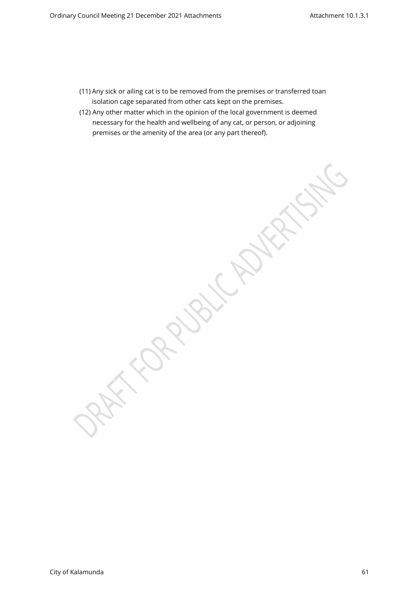- (11) Any sick or ailing cat is to be removed from the premises or transferred toan isolation cage separated from other cats kept on the premises.
- (12) Any other matter which in the opinion of the local government is deemed necessary for the health and wellbeing of any cat, or person, or adjoining premises or the amenity of the area (or any part thereof).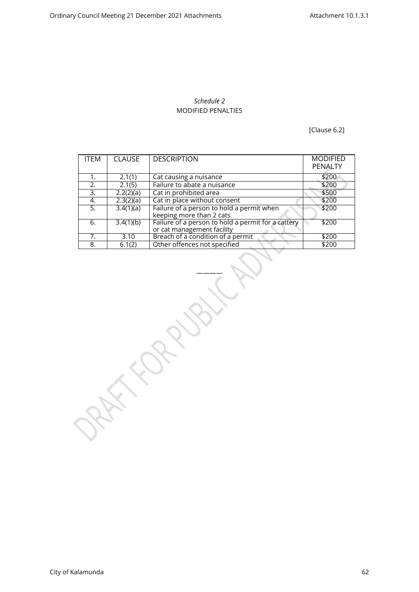## *Schedule 2* MODIFIED PENALTIES

[Clause 6.2]

| <b>ITEM</b> | <b>CLAUSE</b> | <b>DESCRIPTION</b>                                                               | <b>MODIFIED</b><br>PENALTY |
|-------------|---------------|----------------------------------------------------------------------------------|----------------------------|
| 1.          | 2.1(1)        | Cat causing a nuisance                                                           | \$200                      |
| 2.          | 2.1(5)        | Failure to abate a nuisance                                                      | \$200                      |
| 3.          | 2.2(2)(a)     | Cat in prohibited area                                                           | \$500                      |
| 4.          | 2.3(2)(a)     | Cat in place without consent                                                     | \$200                      |
| 5.          | 3.4(1)(a)     | Failure of a person to hold a permit when<br>keeping more than 2 cats            | \$200                      |
| 6.          | 3.4(1)(b)     | Failure of a person to hold a permit for a cattery<br>or cat management facility | \$200                      |
| 7.          | 3.10          | Breach of a condition of a permit                                                | \$200                      |
| 8.          | 6.1(2)        | Other offences not specified                                                     | \$200                      |

————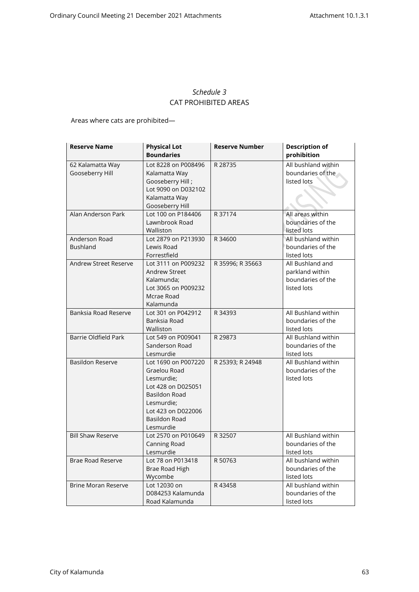# *Schedule 3* CAT PROHIBITED AREAS

Areas where cats are prohibited—

| <b>Reserve Name</b>                 | <b>Physical Lot</b><br><b>Boundaries</b>                                                                                                                                 | <b>Reserve Number</b> | <b>Description of</b><br>prohibition                                    |
|-------------------------------------|--------------------------------------------------------------------------------------------------------------------------------------------------------------------------|-----------------------|-------------------------------------------------------------------------|
| 62 Kalamatta Way<br>Gooseberry Hill | Lot 8228 on P008496<br>Kalamatta Way<br>Gooseberry Hill;<br>Lot 9090 on D032102<br>Kalamatta Way<br>Gooseberry Hill                                                      | R 28735               | All bushland within<br>boundaries of the<br>listed lots                 |
| Alan Anderson Park                  | Lot 100 on P184406<br>Lawnbrook Road<br>Walliston                                                                                                                        | R 37174               | All areas within<br>boundaries of the<br>listed lots                    |
| Anderson Road<br><b>Bushland</b>    | Lot 2879 on P213930<br>Lewis Road<br>Forrestfield                                                                                                                        | R 34600               | All bushland within<br>boundaries of the<br>listed lots                 |
| <b>Andrew Street Reserve</b>        | Lot 3111 on P009232<br><b>Andrew Street</b><br>Kalamunda;<br>Lot 3065 on P009232<br>Mcrae Road<br>Kalamunda                                                              | R 35996; R 35663      | All Bushland and<br>parkland within<br>boundaries of the<br>listed lots |
| Banksia Road Reserve                | Lot 301 on P042912<br>Banksia Road<br>Walliston                                                                                                                          | R 34393               | All Bushland within<br>boundaries of the<br>listed lots                 |
| <b>Barrie Oldfield Park</b>         | Lot 549 on P009041<br>Sanderson Road<br>Lesmurdie                                                                                                                        | R 29873               | All Bushland within<br>boundaries of the<br>listed lots                 |
| <b>Basildon Reserve</b>             | Lot 1690 on P007220<br>Graelou Road<br>Lesmurdie;<br>Lot 428 on D025051<br><b>Basildon Road</b><br>Lesmurdie;<br>Lot 423 on D022006<br><b>Basildon Road</b><br>Lesmurdie | R 25393; R 24948      | All Bushland within<br>boundaries of the<br>listed lots                 |
| <b>Bill Shaw Reserve</b>            | Lot 2570 on P010649<br>Canning Road<br>Lesmurdie                                                                                                                         | R 32507               | All Bushland within<br>boundaries of the<br>listed lots                 |
| <b>Brae Road Reserve</b>            | Lot 78 on P013418<br>Brae Road High<br>Wycombe                                                                                                                           | R 50763               | All bushland within<br>boundaries of the<br>listed lots                 |
| <b>Brine Moran Reserve</b>          | Lot 12030 on<br>D084253 Kalamunda<br>Road Kalamunda                                                                                                                      | R43458                | All bushland within<br>boundaries of the<br>listed lots                 |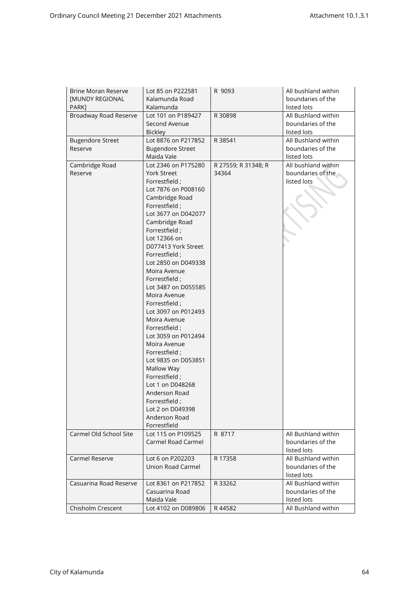| <b>Brine Moran Reserve</b> | Lot 85 on P222581       | R 9093              | All bushland within |
|----------------------------|-------------------------|---------------------|---------------------|
| <b>[MUNDY REGIONAL</b>     | Kalamunda Road          |                     | boundaries of the   |
| PARK1                      | Kalamunda               |                     | listed lots         |
| Broadway Road Reserve      | Lot 101 on P189427      | R 30898             | All Bushland within |
|                            | Second Avenue           |                     | boundaries of the   |
|                            | <b>Bickley</b>          |                     | listed lots         |
| <b>Bugendore Street</b>    | Lot 8876 on P217852     | R 38541             | All Bushland within |
| Reserve                    | <b>Bugendore Street</b> |                     | boundaries of the   |
|                            | Maida Vale              |                     | listed lots         |
| Cambridge Road             | Lot 2346 on P175280     | R 27559; R 31348; R | All bushland within |
| Reserve                    | <b>York Street</b>      | 34364               | boundaries of the   |
|                            | Forrestfield :          |                     | listed lots         |
|                            |                         |                     |                     |
|                            | Lot 7876 on P008160     |                     |                     |
|                            | Cambridge Road          |                     |                     |
|                            | Forrestfield;           |                     |                     |
|                            | Lot 3677 on D042077     |                     |                     |
|                            | Cambridge Road          |                     |                     |
|                            | Forrestfield;           |                     |                     |
|                            | Lot 12366 on            |                     |                     |
|                            | D077413 York Street     |                     |                     |
|                            | Forrestfield;           |                     |                     |
|                            | Lot 2850 on D049338     |                     |                     |
|                            | Moira Avenue            |                     |                     |
|                            | Forrestfield;           |                     |                     |
|                            | Lot 3487 on D055585     |                     |                     |
|                            |                         |                     |                     |
|                            | Moira Avenue            |                     |                     |
|                            | Forrestfield;           |                     |                     |
|                            | Lot 3097 on P012493     |                     |                     |
|                            | Moira Avenue            |                     |                     |
|                            | Forrestfield;           |                     |                     |
|                            | Lot 3059 on P012494     |                     |                     |
|                            | Moira Avenue            |                     |                     |
|                            | Forrestfield;           |                     |                     |
|                            | Lot 9835 on D053851     |                     |                     |
|                            | Mallow Way              |                     |                     |
|                            | Forrestfield;           |                     |                     |
|                            | Lot 1 on D048268        |                     |                     |
|                            | Anderson Road           |                     |                     |
|                            |                         |                     |                     |
|                            | Forrestfield ;          |                     |                     |
|                            | Lot 2 on D049398        |                     |                     |
|                            | Anderson Road           |                     |                     |
|                            | Forrestfield            |                     |                     |
| Carmel Old School Site     | Lot 115 on P109525      | R 8717              | All Bushland within |
|                            | Carmel Road Carmel      |                     | boundaries of the   |
|                            |                         |                     | listed lots         |
| Carmel Reserve             | Lot 6 on P202203        | R 17358             | All Bushland within |
|                            | Union Road Carmel       |                     | boundaries of the   |
|                            |                         |                     | listed lots         |
| Casuarina Road Reserve     | Lot 8361 on P217852     | R 33262             | All Bushland within |
|                            | Casuarina Road          |                     | boundaries of the   |
|                            |                         |                     |                     |
|                            | Maida Vale              |                     | listed lots         |
| Chisholm Crescent          | Lot 4102 on D089806     | R44582              | All Bushland within |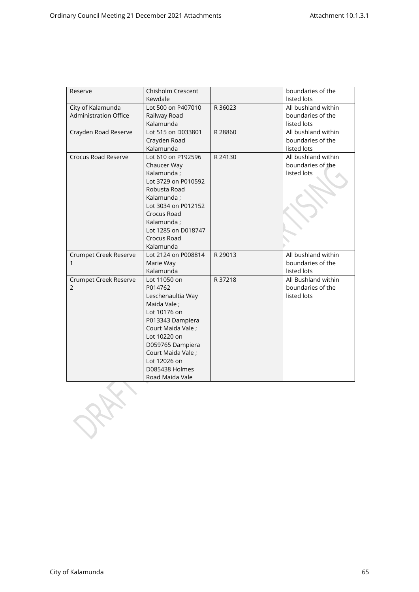| Reserve                      | <b>Chisholm Crescent</b> |         | boundaries of the   |
|------------------------------|--------------------------|---------|---------------------|
|                              | Kewdale                  |         | listed lots         |
| City of Kalamunda            | Lot 500 on P407010       | R 36023 | All bushland within |
| <b>Administration Office</b> | Railway Road             |         | boundaries of the   |
|                              | Kalamunda                |         | listed lots         |
| Crayden Road Reserve         | Lot 515 on D033801       | R 28860 | All bushland within |
|                              | Crayden Road             |         | boundaries of the   |
|                              | Kalamunda                |         | listed lots         |
| Crocus Road Reserve          | Lot 610 on P192596       | R 24130 | All bushland within |
|                              | Chaucer Way              |         | boundaries of the   |
|                              | Kalamunda;               |         | listed lots         |
|                              | Lot 3729 on P010592      |         |                     |
|                              | Robusta Road             |         |                     |
|                              | Kalamunda;               |         |                     |
|                              | Lot 3034 on P012152      |         |                     |
|                              | Crocus Road              |         |                     |
|                              | Kalamunda;               |         |                     |
|                              | Lot 1285 on D018747      |         |                     |
|                              | Crocus Road              |         |                     |
|                              | Kalamunda                |         |                     |
| Crumpet Creek Reserve        | Lot 2124 on P008814      | R 29013 | All bushland within |
|                              | Marie Way                |         | boundaries of the   |
|                              | Kalamunda                |         | listed lots         |
| Crumpet Creek Reserve        | Lot 11050 on             | R 37218 | All Bushland within |
| $\overline{2}$               | P014762                  |         | boundaries of the   |
|                              | Leschenaultia Way        |         | listed lots         |
|                              | Maida Vale ;             |         |                     |
|                              | Lot 10176 on             |         |                     |
|                              | P013343 Dampiera         |         |                     |
|                              | Court Maida Vale ;       |         |                     |
|                              | Lot 10220 on             |         |                     |
|                              | D059765 Dampiera         |         |                     |
|                              | Court Maida Vale;        |         |                     |
|                              | Lot 12026 on             |         |                     |
|                              | D085438 Holmes           |         |                     |
|                              | Road Maida Vale          |         |                     |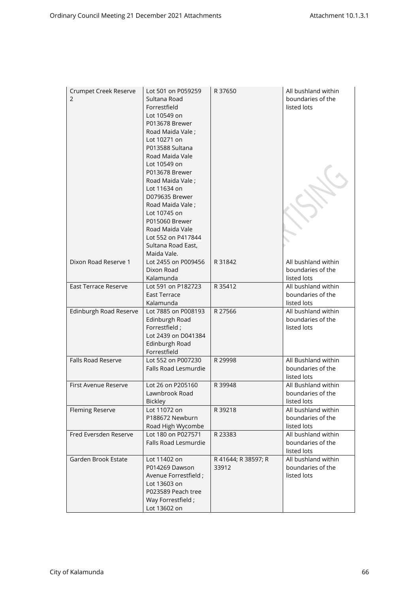| Crumpet Creek Reserve<br>2 | Lot 501 on P059259<br>Sultana Road<br>Forrestfield<br>Lot 10549 on<br>P013678 Brewer<br>Road Maida Vale;<br>Lot 10271 on<br>P013588 Sultana<br>Road Maida Vale<br>Lot 10549 on<br>P013678 Brewer<br>Road Maida Vale;<br>Lot 11634 on<br>D079635 Brewer<br>Road Maida Vale;<br>Lot 10745 on<br>P015060 Brewer<br>Road Maida Vale<br>Lot 552 on P417844<br>Sultana Road East,<br>Maida Vale. | R 37650                      | All bushland within<br>boundaries of the<br>listed lots |
|----------------------------|--------------------------------------------------------------------------------------------------------------------------------------------------------------------------------------------------------------------------------------------------------------------------------------------------------------------------------------------------------------------------------------------|------------------------------|---------------------------------------------------------|
| Dixon Road Reserve 1       | Lot 2455 on P009456<br>Dixon Road<br>Kalamunda                                                                                                                                                                                                                                                                                                                                             | R 31842                      | All bushland within<br>boundaries of the<br>listed lots |
| East Terrace Reserve       | Lot 591 on P182723<br><b>East Terrace</b><br>Kalamunda                                                                                                                                                                                                                                                                                                                                     | R 35412                      | All bushland within<br>boundaries of the<br>listed lots |
| Edinburgh Road Reserve     | Lot 7885 on P008193<br>Edinburgh Road<br>Forrestfield;<br>Lot 2439 on D041384<br>Edinburgh Road<br>Forrestfield                                                                                                                                                                                                                                                                            | R 27566                      | All bushland within<br>boundaries of the<br>listed lots |
| Falls Road Reserve         | Lot 552 on P007230<br>Falls Road Lesmurdie                                                                                                                                                                                                                                                                                                                                                 | R 29998                      | All Bushland within<br>boundaries of the<br>listed lots |
| First Avenue Reserve       | Lot 26 on P205160<br>Lawnbrook Road<br><b>Bickley</b>                                                                                                                                                                                                                                                                                                                                      | R 39948                      | All Bushland within<br>boundaries of the<br>listed lots |
| <b>Fleming Reserve</b>     | Lot 11072 on<br>P188672 Newburn<br>Road High Wycombe                                                                                                                                                                                                                                                                                                                                       | R 39218                      | All bushland within<br>boundaries of the<br>listed lots |
| Fred Eversden Reserve      | Lot 180 on P027571<br>Falls Road Lesmurdie                                                                                                                                                                                                                                                                                                                                                 | R 23383                      | All bushland within<br>boundaries of the<br>listed lots |
| Garden Brook Estate        | Lot 11402 on<br>P014269 Dawson<br>Avenue Forrestfield;<br>Lot 13603 on<br>P023589 Peach tree<br>Way Forrestfield;<br>Lot 13602 on                                                                                                                                                                                                                                                          | R 41644; R 38597; R<br>33912 | All bushland within<br>boundaries of the<br>listed lots |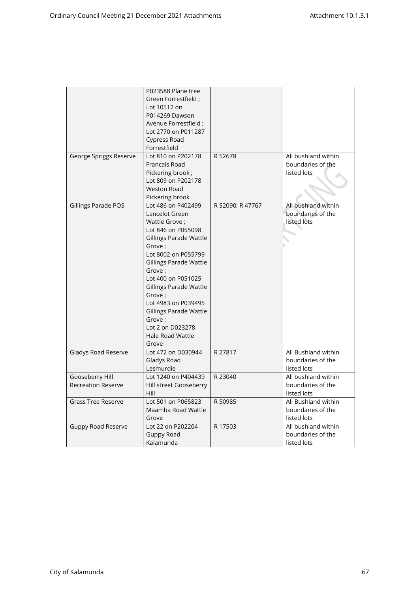|                                              | P023588 Plane tree<br>Green Forrestfield ;<br>Lot 10512 on<br>P014269 Dawson<br>Avenue Forrestfield ;<br>Lot 2770 on P011287<br>Cypress Road<br>Forrestfield                                                                                                                                                                                                              |                  |                                                         |
|----------------------------------------------|---------------------------------------------------------------------------------------------------------------------------------------------------------------------------------------------------------------------------------------------------------------------------------------------------------------------------------------------------------------------------|------------------|---------------------------------------------------------|
| George Spriggs Reserve                       | Lot 810 on P202178<br>Francais Road<br>Pickering brook;<br>Lot 809 on P202178<br><b>Weston Road</b><br>Pickering brook                                                                                                                                                                                                                                                    | R 52678          | All bushland within<br>boundaries of the<br>listed lots |
| Gillings Parade POS                          | Lot 486 on P402499<br>Lancelot Green<br>Wattle Grove ;<br>Lot 846 on P055098<br><b>Gillings Parade Wattle</b><br>Grove:<br>Lot 8002 on P055799<br>Gillings Parade Wattle<br>Grove ;<br>Lot 400 on P051025<br><b>Gillings Parade Wattle</b><br>Grove ;<br>Lot 4983 on P039495<br><b>Gillings Parade Wattle</b><br>Grove ;<br>Lot 2 on D023278<br>Hale Road Wattle<br>Grove | R 52090; R 47767 | All bushland within<br>boundaries of the<br>listed lots |
| Gladys Road Reserve                          | Lot 472 on D030944<br>Gladys Road<br>Lesmurdie                                                                                                                                                                                                                                                                                                                            | R 27817          | All Bushland within<br>boundaries of the<br>listed lots |
| Gooseberry Hill<br><b>Recreation Reserve</b> | Lot 1240 on P404439<br>Hill street Gooseberry<br>Hill                                                                                                                                                                                                                                                                                                                     | R 23040          | All bushland within<br>boundaries of the<br>listed lots |
| <b>Grass Tree Reserve</b>                    | Lot 501 on P065823<br>Maamba Road Wattle<br>Grove                                                                                                                                                                                                                                                                                                                         | R 50985          | All Bushland within<br>boundaries of the<br>listed lots |
| <b>Guppy Road Reserve</b>                    | Lot 22 on P202204<br><b>Guppy Road</b><br>Kalamunda                                                                                                                                                                                                                                                                                                                       | R 17503          | All bushland within<br>boundaries of the<br>listed lots |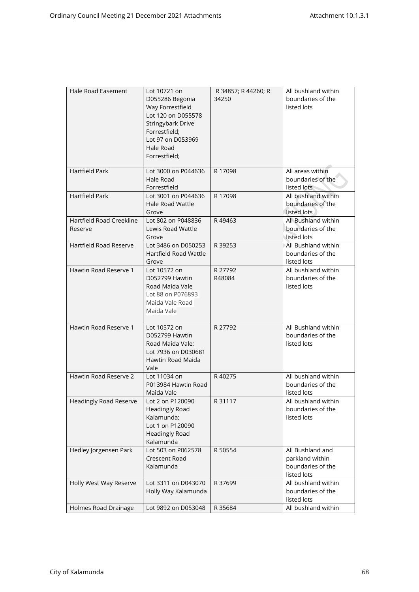| Hale Road Easement                  | Lot 10721 on<br>D055286 Begonia<br>Way Forrestfield<br>Lot 120 on D055578<br>Stringybark Drive<br>Forrestfield;<br>Lot 97 on D053969<br>Hale Road<br>Forrestfield; | R 34857; R 44260; R<br>34250 | All bushland within<br>boundaries of the<br>listed lots                 |
|-------------------------------------|--------------------------------------------------------------------------------------------------------------------------------------------------------------------|------------------------------|-------------------------------------------------------------------------|
| Hartfield Park                      | Lot 3000 on P044636<br>Hale Road<br>Forrestfield                                                                                                                   | R 17098                      | All areas within<br>boundaries of the<br>listed lots                    |
| Hartfield Park                      | Lot 3001 on P044636<br><b>Hale Road Wattle</b><br>Grove                                                                                                            | R 17098                      | All bushland within<br>boundaries of the<br>listed lots                 |
| Hartfield Road Creekline<br>Reserve | Lot 802 on P048836<br>Lewis Road Wattle<br>Grove                                                                                                                   | R49463                       | All Bushland within<br>boundaries of the<br>listed lots                 |
| Hartfield Road Reserve              | Lot 3486 on D050253<br>Hartfield Road Wattle<br>Grove                                                                                                              | R 39253                      | All Bushland within<br>boundaries of the<br>listed lots                 |
| Hawtin Road Reserve 1               | Lot 10572 on<br>D052799 Hawtin<br>Road Maida Vale<br>Lot 88 on P076893<br>Maida Vale Road<br>Maida Vale                                                            | R 27792<br>R48084            | All bushland within<br>boundaries of the<br>listed lots                 |
| Hawtin Road Reserve 1               | Lot 10572 on<br>D052799 Hawtin<br>Road Maida Vale;<br>Lot 7936 on D030681<br>Hawtin Road Maida<br>Vale                                                             | R 27792                      | All Bushland within<br>boundaries of the<br>listed lots                 |
| Hawtin Road Reserve 2               | Lot 11034 on<br>P013984 Hawtin Road<br>Maida Vale                                                                                                                  | R40275                       | All bushland within<br>boundaries of the<br>listed lots                 |
| Headingly Road Reserve              | Lot 2 on P120090<br><b>Headingly Road</b><br>Kalamunda;<br>Lot 1 on P120090<br><b>Headingly Road</b><br>Kalamunda                                                  | R 31117                      | All bushland within<br>boundaries of the<br>listed lots                 |
| Hedley Jorgensen Park               | Lot 503 on P062578<br><b>Crescent Road</b><br>Kalamunda                                                                                                            | R 50554                      | All Bushland and<br>parkland within<br>boundaries of the<br>listed lots |
| Holly West Way Reserve              | Lot 3311 on D043070<br>Holly Way Kalamunda                                                                                                                         | R 37699                      | All bushland within<br>boundaries of the<br>listed lots                 |
| Holmes Road Drainage                | Lot 9892 on D053048                                                                                                                                                | R 35684                      | All bushland within                                                     |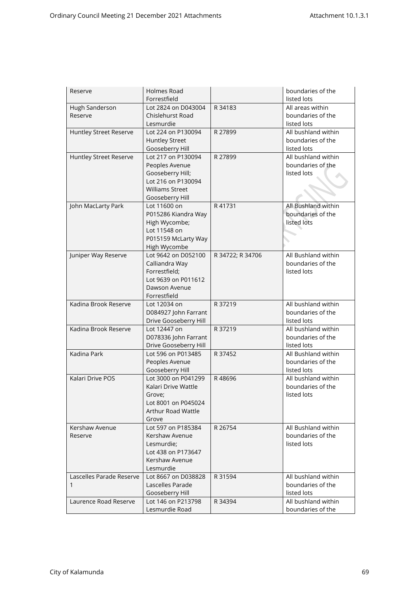| Reserve                  | Holmes Road                          |                  | boundaries of the                        |
|--------------------------|--------------------------------------|------------------|------------------------------------------|
|                          | Forrestfield                         |                  | listed lots                              |
| Hugh Sanderson           | Lot 2824 on D043004                  | R 34183          | All areas within                         |
| Reserve                  | Chislehurst Road                     |                  | boundaries of the                        |
|                          | Lesmurdie                            |                  | listed lots                              |
| Huntley Street Reserve   | Lot 224 on P130094                   | R 27899          | All bushland within                      |
|                          | <b>Huntley Street</b>                |                  | boundaries of the                        |
|                          | Gooseberry Hill                      |                  | listed lots                              |
| Huntley Street Reserve   | Lot 217 on P130094                   | R 27899          | All bushland within                      |
|                          | Peoples Avenue                       |                  | boundaries of the                        |
|                          | Gooseberry Hill;                     |                  | listed lots                              |
|                          | Lot 216 on P130094                   |                  |                                          |
|                          | <b>Williams Street</b>               |                  |                                          |
|                          | Gooseberry Hill                      |                  |                                          |
| John MacLarty Park       | Lot 11600 on                         | R 41731          | All Bushland within                      |
|                          | P015286 Kiandra Way                  |                  | boundaries of the                        |
|                          | High Wycombe;                        |                  | listed lots                              |
|                          | Lot 11548 on                         |                  |                                          |
|                          | P015159 McLarty Way                  |                  |                                          |
|                          | High Wycombe                         |                  |                                          |
| Juniper Way Reserve      | Lot 9642 on D052100                  | R 34722; R 34706 | All Bushland within                      |
|                          | Calliandra Way                       |                  | boundaries of the                        |
|                          | Forrestfield;                        |                  | listed lots                              |
|                          | Lot 9639 on P011612                  |                  |                                          |
|                          | Dawson Avenue                        |                  |                                          |
|                          | Forrestfield                         |                  |                                          |
| Kadina Brook Reserve     | Lot 12034 on                         | R 37219          | All bushland within                      |
|                          | D084927 John Farrant                 |                  | boundaries of the                        |
|                          | Drive Gooseberry Hill                |                  | listed lots                              |
| Kadina Brook Reserve     | Lot 12447 on                         | R 37219          | All bushland within                      |
|                          | D078336 John Farrant                 |                  | boundaries of the                        |
|                          | Drive Gooseberry Hill                |                  | listed lots                              |
| Kadina Park              | Lot 596 on P013485                   | R 37452          | All Bushland within                      |
|                          | Peoples Avenue                       |                  | boundaries of the                        |
|                          | Gooseberry Hill                      |                  | listed lots                              |
| Kalari Drive POS         | Lot 3000 on P041299                  | R48696           | All bushland within                      |
|                          | Kalari Drive Wattle                  |                  | boundaries of the                        |
|                          | Grove;                               |                  | listed lots                              |
|                          | Lot 8001 on P045024                  |                  |                                          |
|                          | Arthur Road Wattle                   |                  |                                          |
|                          | Grove                                |                  |                                          |
| Kershaw Avenue           | Lot 597 on P185384                   | R 26754          | All Bushland within                      |
| Reserve                  | Kershaw Avenue                       |                  | boundaries of the                        |
|                          | Lesmurdie;                           |                  | listed lots                              |
|                          | Lot 438 on P173647                   |                  |                                          |
|                          | Kershaw Avenue                       |                  |                                          |
|                          | Lesmurdie                            |                  |                                          |
| Lascelles Parade Reserve | Lot 8667 on D038828                  | R 31594          | All bushland within                      |
| 1                        | Lascelles Parade                     |                  | boundaries of the                        |
|                          | Gooseberry Hill                      |                  | listed lots                              |
| Laurence Road Reserve    |                                      |                  |                                          |
|                          | Lot 146 on P213798<br>Lesmurdie Road | R 34394          | All bushland within<br>boundaries of the |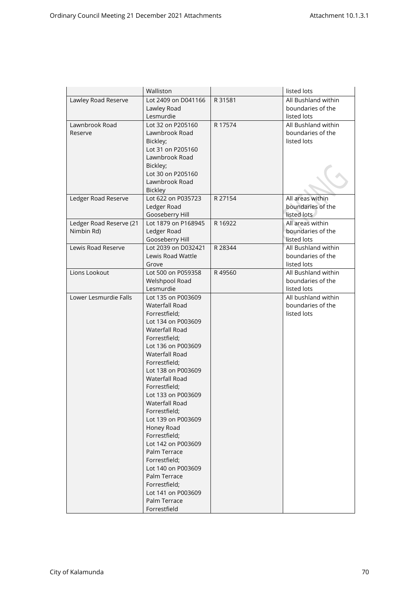|                         | Walliston             |         | listed lots         |
|-------------------------|-----------------------|---------|---------------------|
| Lawley Road Reserve     | Lot 2409 on D041166   | R 31581 | All Bushland within |
|                         | Lawley Road           |         | boundaries of the   |
|                         | Lesmurdie             |         | listed lots         |
| Lawnbrook Road          | Lot 32 on P205160     | R 17574 | All Bushland within |
| Reserve                 | Lawnbrook Road        |         | boundaries of the   |
|                         | Bickley;              |         | listed lots         |
|                         | Lot 31 on P205160     |         |                     |
|                         | Lawnbrook Road        |         |                     |
|                         | Bickley;              |         |                     |
|                         | Lot 30 on P205160     |         |                     |
|                         | Lawnbrook Road        |         |                     |
|                         | <b>Bickley</b>        |         |                     |
| Ledger Road Reserve     | Lot 622 on P035723    | R 27154 | All areas within    |
|                         | Ledger Road           |         | boundaries of the   |
|                         | Gooseberry Hill       |         | listed lots         |
| Ledger Road Reserve (21 | Lot 1879 on P168945   | R 16922 | All areas within    |
| Nimbin Rd)              | Ledger Road           |         | boundaries of the   |
|                         | Gooseberry Hill       |         | listed lots         |
| Lewis Road Reserve      | Lot 2039 on D032421   | R 28344 | All Bushland within |
|                         | Lewis Road Wattle     |         | boundaries of the   |
|                         | Grove                 |         | listed lots         |
| Lions Lookout           | Lot 500 on P059358    | R49560  | All Bushland within |
|                         | Welshpool Road        |         | boundaries of the   |
|                         | Lesmurdie             |         | listed lots         |
| Lower Lesmurdie Falls   | Lot 135 on P003609    |         | All bushland within |
|                         | <b>Waterfall Road</b> |         | boundaries of the   |
|                         | Forrestfield;         |         | listed lots         |
|                         | Lot 134 on P003609    |         |                     |
|                         | Waterfall Road        |         |                     |
|                         | Forrestfield;         |         |                     |
|                         | Lot 136 on P003609    |         |                     |
|                         | <b>Waterfall Road</b> |         |                     |
|                         | Forrestfield;         |         |                     |
|                         | Lot 138 on P003609    |         |                     |
|                         | <b>Waterfall Road</b> |         |                     |
|                         | Forrestfield;         |         |                     |
|                         | Lot 133 on P003609    |         |                     |
|                         | Waterfall Road        |         |                     |
|                         | Forrestfield;         |         |                     |
|                         | Lot 139 on P003609    |         |                     |
|                         | Honey Road            |         |                     |
|                         | Forrestfield;         |         |                     |
|                         | Lot 142 on P003609    |         |                     |
|                         | Palm Terrace          |         |                     |
|                         | Forrestfield:         |         |                     |
|                         | Lot 140 on P003609    |         |                     |
|                         | Palm Terrace          |         |                     |
|                         | Forrestfield:         |         |                     |
|                         | Lot 141 on P003609    |         |                     |
|                         | Palm Terrace          |         |                     |
|                         | Forrestfield          |         |                     |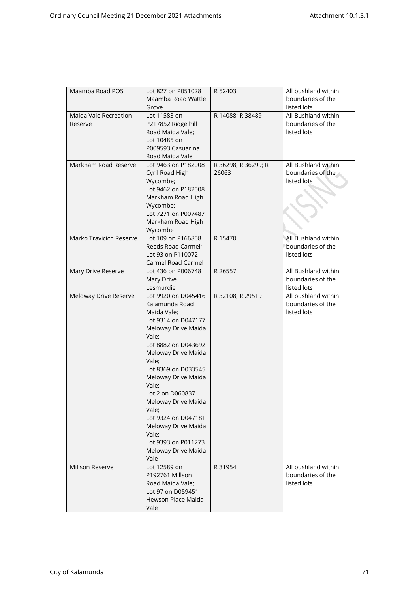| Maamba Road POS                  | Lot 827 on P051028<br>Maamba Road Wattle<br>Grove                                                                                                                                                                                                                                                                                                                                          | R 52403                      | All bushland within<br>boundaries of the<br>listed lots |
|----------------------------------|--------------------------------------------------------------------------------------------------------------------------------------------------------------------------------------------------------------------------------------------------------------------------------------------------------------------------------------------------------------------------------------------|------------------------------|---------------------------------------------------------|
| Maida Vale Recreation<br>Reserve | Lot 11583 on<br>P217852 Ridge hill<br>Road Maida Vale;<br>Lot 10485 on<br>P009593 Casuarina<br>Road Maida Vale                                                                                                                                                                                                                                                                             | R 14088; R 38489             | All Bushland within<br>boundaries of the<br>listed lots |
| Markham Road Reserve             | Lot 9463 on P182008<br>Cyril Road High<br>Wycombe;<br>Lot 9462 on P182008<br>Markham Road High<br>Wycombe;<br>Lot 7271 on P007487<br>Markham Road High<br>Wycombe                                                                                                                                                                                                                          | R 36298; R 36299; R<br>26063 | All Bushland within<br>boundaries of the<br>listed lots |
| Marko Travicich Reserve          | Lot 109 on P166808<br>Reeds Road Carmel:<br>Lot 93 on P110072<br>Carmel Road Carmel                                                                                                                                                                                                                                                                                                        | R 15470                      | All Bushland within<br>boundaries of the<br>listed lots |
| Mary Drive Reserve               | Lot 436 on P006748<br>Mary Drive<br>Lesmurdie                                                                                                                                                                                                                                                                                                                                              | R 26557                      | All Bushland within<br>boundaries of the<br>listed lots |
| Meloway Drive Reserve            | Lot 9920 on D045416<br>Kalamunda Road<br>Maida Vale;<br>Lot 9314 on D047177<br>Meloway Drive Maida<br>Vale;<br>Lot 8882 on D043692<br>Meloway Drive Maida<br>Vale;<br>Lot 8369 on D033545<br>Meloway Drive Maida<br>Vale;<br>Lot 2 on D060837<br>Meloway Drive Maida<br>Vale;<br>Lot 9324 on D047181<br>Meloway Drive Maida<br>Vale;<br>Lot 9393 on P011273<br>Meloway Drive Maida<br>Vale | R 32108; R 29519             | All bushland within<br>boundaries of the<br>listed lots |
| Millson Reserve                  | Lot 12589 on<br>P192761 Millson<br>Road Maida Vale;<br>Lot 97 on D059451<br>Hewson Place Maida<br>Vale                                                                                                                                                                                                                                                                                     | R 31954                      | All bushland within<br>boundaries of the<br>listed lots |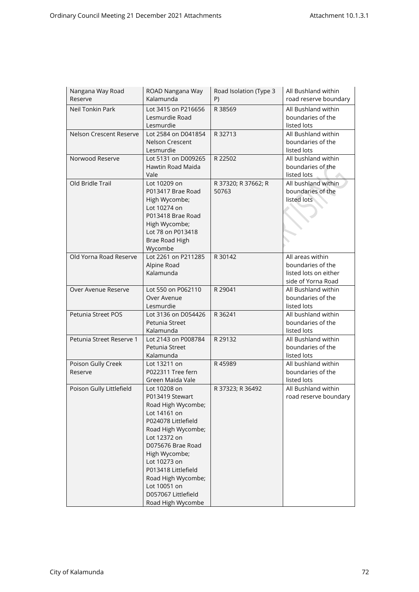| Nangana Way Road<br>Reserve | ROAD Nangana Way<br>Kalamunda | Road Isolation (Type 3<br>P) | All Bushland within<br>road reserve boundary |
|-----------------------------|-------------------------------|------------------------------|----------------------------------------------|
|                             |                               |                              |                                              |
| Neil Tonkin Park            | Lot 3415 on P216656           | R 38569                      | All Bushland within                          |
|                             | Lesmurdie Road                |                              | boundaries of the                            |
|                             | Lesmurdie                     |                              | listed lots                                  |
| Nelson Crescent Reserve     | Lot 2584 on D041854           | R 32713                      | All Bushland within                          |
|                             | Nelson Crescent               |                              | boundaries of the                            |
|                             | Lesmurdie                     |                              | listed lots                                  |
| Norwood Reserve             | Lot 5131 on D009265           | R 22502                      | All bushland within                          |
|                             | Hawtin Road Maida             |                              | boundaries of the                            |
|                             | Vale                          |                              | listed lots                                  |
| Old Bridle Trail            | Lot 10209 on                  | R 37320; R 37662; R          | All bushland within                          |
|                             | P013417 Brae Road             | 50763                        | boundaries of the                            |
|                             | High Wycombe;                 |                              | listed lots                                  |
|                             | Lot 10274 on                  |                              |                                              |
|                             | P013418 Brae Road             |                              |                                              |
|                             | High Wycombe;                 |                              |                                              |
|                             | Lot 78 on P013418             |                              |                                              |
|                             | Brae Road High                |                              |                                              |
|                             | Wycombe                       |                              |                                              |
| Old Yorna Road Reserve      | Lot 2261 on P211285           | R 30142                      | All areas within                             |
|                             | Alpine Road                   |                              | boundaries of the                            |
|                             | Kalamunda                     |                              | listed lots on either                        |
|                             |                               |                              | side of Yorna Road                           |
| Over Avenue Reserve         | Lot 550 on P062110            | R 29041                      | All Bushland within                          |
|                             | Over Avenue                   |                              | boundaries of the                            |
|                             | Lesmurdie                     |                              | listed lots                                  |
| Petunia Street POS          | Lot 3136 on D054426           | R 36241                      | All bushland within                          |
|                             | Petunia Street                |                              | boundaries of the                            |
|                             | Kalamunda                     |                              | listed lots                                  |
| Petunia Street Reserve 1    | Lot 2143 on P008784           | R 29132                      | All Bushland within                          |
|                             | Petunia Street                |                              | boundaries of the                            |
|                             | Kalamunda                     |                              | listed lots                                  |
| Poison Gully Creek          | Lot 13211 on                  | R45989                       | All bushland within                          |
| Reserve                     | P022311 Tree fern             |                              | boundaries of the                            |
|                             | Green Maida Vale              |                              | listed lots                                  |
| Poison Gully Littlefield    | Lot 10208 on                  | R 37323; R 36492             | All Bushland within                          |
|                             | P013419 Stewart               |                              | road reserve boundary                        |
|                             | Road High Wycombe;            |                              |                                              |
|                             | Lot 14161 on                  |                              |                                              |
|                             | P024078 Littlefield           |                              |                                              |
|                             | Road High Wycombe;            |                              |                                              |
|                             | Lot 12372 on                  |                              |                                              |
|                             | D075676 Brae Road             |                              |                                              |
|                             | High Wycombe;                 |                              |                                              |
|                             | Lot 10273 on                  |                              |                                              |
|                             | P013418 Littlefield           |                              |                                              |
|                             | Road High Wycombe;            |                              |                                              |
|                             | Lot 10051 on                  |                              |                                              |
|                             | D057067 Littlefield           |                              |                                              |
|                             | Road High Wycombe             |                              |                                              |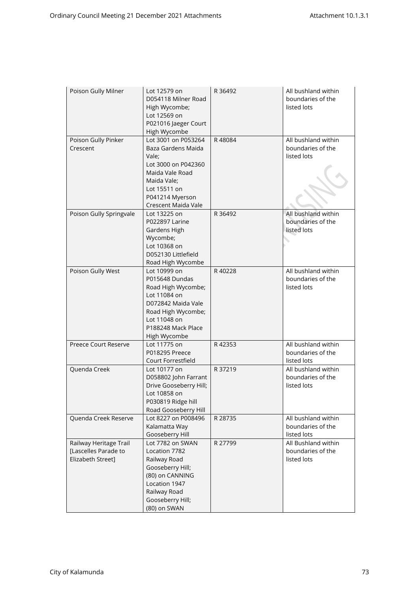| Poison Gully Milner                                                 | Lot 12579 on<br>D054118 Milner Road<br>High Wycombe;<br>Lot 12569 on<br>P021016 Jaeger Court<br>High Wycombe                                                           | R 36492 | All bushland within<br>boundaries of the<br>listed lots |
|---------------------------------------------------------------------|------------------------------------------------------------------------------------------------------------------------------------------------------------------------|---------|---------------------------------------------------------|
| Poison Gully Pinker<br>Crescent                                     | Lot 3001 on P053264<br>Baza Gardens Maida<br>Vale;<br>Lot 3000 on P042360<br>Maida Vale Road<br>Maida Vale:<br>Lot 15511 on<br>P041214 Myerson<br>Crescent Maida Vale  | R48084  | All bushland within<br>boundaries of the<br>listed lots |
| Poison Gully Springvale                                             | Lot 13225 on<br><b>P022897 Larine</b><br>Gardens High<br>Wycombe;<br>Lot 10368 on<br>D052130 Littlefield<br>Road High Wycombe                                          | R 36492 | All bushland within<br>boundaries of the<br>listed lots |
| Poison Gully West                                                   | Lot 10999 on<br>P015648 Dundas<br>Road High Wycombe;<br>Lot 11084 on<br>D072842 Maida Vale<br>Road High Wycombe;<br>Lot 11048 on<br>P188248 Mack Place<br>High Wycombe | R40228  | All bushland within<br>boundaries of the<br>listed lots |
| Preece Court Reserve                                                | Lot 11775 on<br>P018295 Preece<br>Court Forrestfield                                                                                                                   | R42353  | All bushland within<br>boundaries of the<br>listed lots |
| Quenda Creek                                                        | Lot 10177 on<br>D058802 John Farrant<br>Drive Gooseberry Hill;<br>Lot 10858 on<br>P030819 Ridge hill<br>Road Gooseberry Hill                                           | R 37219 | All bushland within<br>boundaries of the<br>listed lots |
| Quenda Creek Reserve                                                | Lot 8227 on P008496<br>Kalamatta Way<br>Gooseberry Hill                                                                                                                | R 28735 | All bushland within<br>boundaries of the<br>listed lots |
| Railway Heritage Trail<br>[Lascelles Parade to<br>Elizabeth Street] | Lot 7782 on SWAN<br>Location 7782<br>Railway Road<br>Gooseberry Hill;<br>(80) on CANNING<br>Location 1947<br>Railway Road<br>Gooseberry Hill;<br>(80) on SWAN          | R 27799 | All Bushland within<br>boundaries of the<br>listed lots |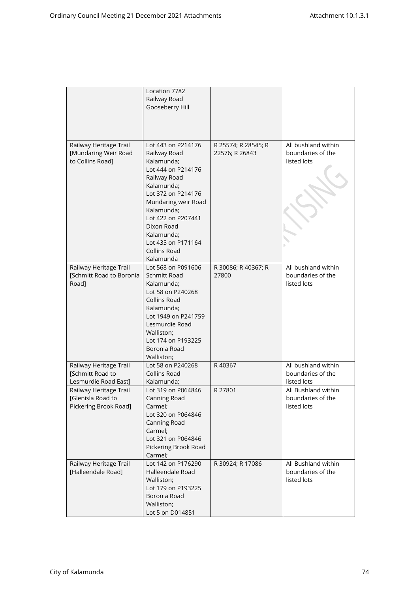|                                                                      | Location 7782<br>Railway Road<br>Gooseberry Hill                                                                                                                                                                                                                            |                                       |                                                         |
|----------------------------------------------------------------------|-----------------------------------------------------------------------------------------------------------------------------------------------------------------------------------------------------------------------------------------------------------------------------|---------------------------------------|---------------------------------------------------------|
| Railway Heritage Trail<br>[Mundaring Weir Road<br>to Collins Road]   | Lot 443 on P214176<br>Railway Road<br>Kalamunda:<br>Lot 444 on P214176<br>Railway Road<br>Kalamunda;<br>Lot 372 on P214176<br>Mundaring weir Road<br>Kalamunda;<br>Lot 422 on P207441<br>Dixon Road<br>Kalamunda;<br>Lot 435 on P171164<br><b>Collins Road</b><br>Kalamunda | R 25574; R 28545; R<br>22576; R 26843 | All bushland within<br>boundaries of the<br>listed lots |
| Railway Heritage Trail<br>[Schmitt Road to Boronia<br>Road]          | Lot 568 on P091606<br>Schmitt Road<br>Kalamunda;<br>Lot 58 on P240268<br><b>Collins Road</b><br>Kalamunda;<br>Lot 1949 on P241759<br>Lesmurdie Road<br>Walliston;<br>Lot 174 on P193225<br>Boronia Road<br>Walliston;                                                       | R 30086; R 40367; R<br>27800          | All bushland within<br>boundaries of the<br>listed lots |
| Railway Heritage Trail<br>[Schmitt Road to<br>Lesmurdie Road East]   | Lot 58 on P240268<br><b>Collins Road</b><br>Kalamunda;                                                                                                                                                                                                                      | R40367                                | All bushland within<br>boundaries of the<br>listed lots |
| Railway Heritage Trail<br>[Glenisla Road to<br>Pickering Brook Road] | Lot 319 on P064846<br>Canning Road<br>Carmel;<br>Lot 320 on P064846<br>Canning Road<br>Carmel;<br>Lot 321 on P064846<br>Pickering Brook Road<br>Carmel;                                                                                                                     | R 27801                               | All Bushland within<br>boundaries of the<br>listed lots |
| Railway Heritage Trail<br>[Halleendale Road]                         | Lot 142 on P176290<br>Halleendale Road<br>Walliston;<br>Lot 179 on P193225<br>Boronia Road<br>Walliston;<br>Lot 5 on D014851                                                                                                                                                | R 30924; R 17086                      | All Bushland within<br>boundaries of the<br>listed lots |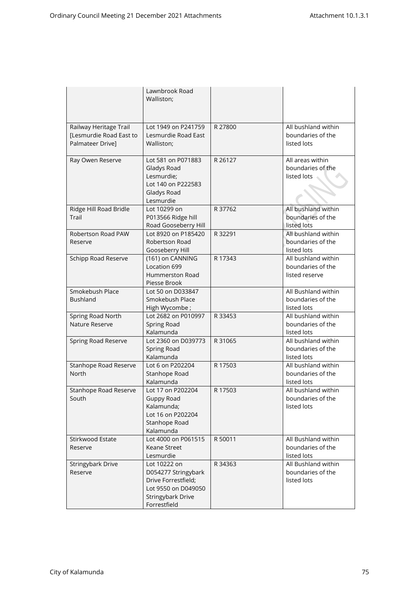|                                                                       | Lawnbrook Road<br>Walliston;                                                                                                  |         |                                                            |
|-----------------------------------------------------------------------|-------------------------------------------------------------------------------------------------------------------------------|---------|------------------------------------------------------------|
| Railway Heritage Trail<br>[Lesmurdie Road East to<br>Palmateer Drive] | Lot 1949 on P241759<br>Lesmurdie Road East<br>Walliston;                                                                      | R 27800 | All bushland within<br>boundaries of the<br>listed lots    |
| Ray Owen Reserve                                                      | Lot 581 on P071883<br>Gladys Road<br>Lesmurdie;<br>Lot 140 on P222583<br>Gladys Road<br>Lesmurdie                             | R 26127 | All areas within<br>boundaries of the<br>listed lots       |
| Ridge Hill Road Bridle<br>Trail                                       | Lot 10299 on<br>P013566 Ridge hill<br>Road Gooseberry Hill                                                                    | R 37762 | All bushland within<br>boundaries of the<br>listed lots    |
| Robertson Road PAW<br>Reserve                                         | Lot 8920 on P185420<br>Robertson Road<br>Gooseberry Hill                                                                      | R 32291 | All bushland within<br>boundaries of the<br>listed lots    |
| Schipp Road Reserve                                                   | (161) on CANNING<br>Location 699<br>Hummerston Road<br>Piesse Brook                                                           | R 17343 | All bushland within<br>boundaries of the<br>listed reserve |
| Smokebush Place<br><b>Bushland</b>                                    | Lot 50 on D033847<br>Smokebush Place<br>High Wycombe;                                                                         |         | All Bushland within<br>boundaries of the<br>listed lots    |
| Spring Road North<br>Nature Reserve                                   | Lot 2682 on P010997<br>Spring Road<br>Kalamunda                                                                               | R 33453 | All bushland within<br>boundaries of the<br>listed lots    |
| Spring Road Reserve                                                   | Lot 2360 on D039773<br>Spring Road<br>Kalamunda                                                                               | R 31065 | All bushland within<br>boundaries of the<br>listed lots    |
| Stanhope Road Reserve<br><b>North</b>                                 | Lot 6 on P202204<br>Stanhope Road<br>Kalamunda                                                                                | R 17503 | All bushland within<br>boundaries of the<br>listed lots    |
| Stanhope Road Reserve<br>South                                        | Lot 17 on P202204<br>Guppy Road<br>Kalamunda;<br>Lot 16 on P202204<br>Stanhope Road<br>Kalamunda                              | R 17503 | All bushland within<br>boundaries of the<br>listed lots    |
| Stirkwood Estate<br>Reserve                                           | Lot 4000 on P061515<br>Keane Street<br>Lesmurdie                                                                              | R 50011 | All Bushland within<br>boundaries of the<br>listed lots    |
| Stringybark Drive<br>Reserve                                          | Lot 10222 on<br>D054277 Stringybark<br>Drive Forrestfield;<br>Lot 9550 on D049050<br><b>Stringybark Drive</b><br>Forrestfield | R 34363 | All Bushland within<br>boundaries of the<br>listed lots    |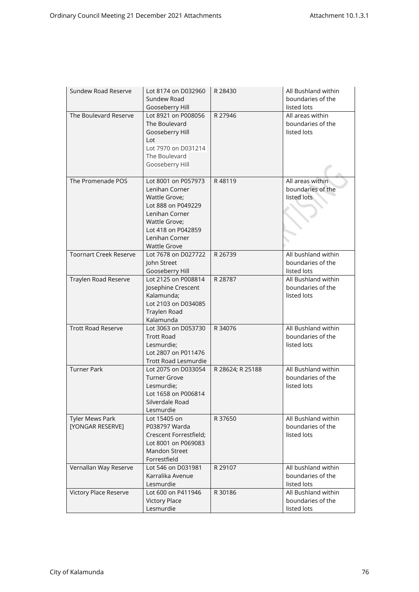| Sundew Road Reserve           | Lot 8174 on D032960    | R 28430          | All Bushland within |
|-------------------------------|------------------------|------------------|---------------------|
|                               | Sundew Road            |                  | boundaries of the   |
|                               | Gooseberry Hill        |                  | listed lots         |
| The Boulevard Reserve         | Lot 8921 on P008056    | R 27946          | All areas within    |
|                               | The Boulevard          |                  | boundaries of the   |
|                               | Gooseberry Hill        |                  | listed lots         |
|                               | Lot                    |                  |                     |
|                               | Lot 7970 on D031214    |                  |                     |
|                               | The Boulevard          |                  |                     |
|                               | Gooseberry Hill        |                  |                     |
|                               |                        |                  |                     |
| The Promenade POS             | Lot 8001 on P057973    | R48119           | All areas within    |
|                               | Lenihan Corner         |                  | boundaries of the   |
|                               | Wattle Grove;          |                  | listed lots         |
|                               | Lot 888 on P049229     |                  |                     |
|                               | Lenihan Corner         |                  |                     |
|                               | Wattle Grove;          |                  |                     |
|                               | Lot 418 on P042859     |                  |                     |
|                               | Lenihan Corner         |                  |                     |
|                               | <b>Wattle Grove</b>    |                  |                     |
| <b>Toornart Creek Reserve</b> | Lot 7678 on D027722    | R 26739          | All bushland within |
|                               | John Street            |                  | boundaries of the   |
|                               | Gooseberry Hill        |                  | listed lots         |
| Traylen Road Reserve          | Lot 2125 on P008814    | R 28787          | All Bushland within |
|                               | Josephine Crescent     |                  | boundaries of the   |
|                               | Kalamunda;             |                  | listed lots         |
|                               | Lot 2103 on D034085    |                  |                     |
|                               | Traylen Road           |                  |                     |
|                               | Kalamunda              |                  |                     |
| <b>Trott Road Reserve</b>     | Lot 3063 on D053730    | R 34076          | All Bushland within |
|                               | <b>Trott Road</b>      |                  | boundaries of the   |
|                               | Lesmurdie;             |                  | listed lots         |
|                               | Lot 2807 on P011476    |                  |                     |
|                               | Trott Road Lesmurdie   |                  |                     |
| <b>Turner Park</b>            | Lot 2075 on D033054    | R 28624; R 25188 | All Bushland within |
|                               |                        |                  | boundaries of the   |
|                               | <b>Turner Grove</b>    |                  |                     |
|                               | Lesmurdie;             |                  | listed lots         |
|                               | Lot 1658 on P006814    |                  |                     |
|                               | Silverdale Road        |                  |                     |
|                               | Lesmurdie              |                  |                     |
| <b>Tyler Mews Park</b>        | Lot 15405 on           | R 37650          | All Bushland within |
| [YONGAR RESERVE]              | P038797 Warda          |                  | boundaries of the   |
|                               | Crescent Forrestfield; |                  | listed lots         |
|                               | Lot 8001 on P069083    |                  |                     |
|                               | Mandon Street          |                  |                     |
|                               | Forrestfield           |                  |                     |
| Vernallan Way Reserve         | Lot 546 on D031981     | R 29107          | All bushland within |
|                               | Karralika Avenue       |                  | boundaries of the   |
|                               | Lesmurdie              |                  | listed lots         |
| Victory Place Reserve         | Lot 600 on P411946     | R 30186          | All Bushland within |
|                               | <b>Victory Place</b>   |                  | boundaries of the   |
|                               | Lesmurdie              |                  | listed lots         |
|                               |                        |                  |                     |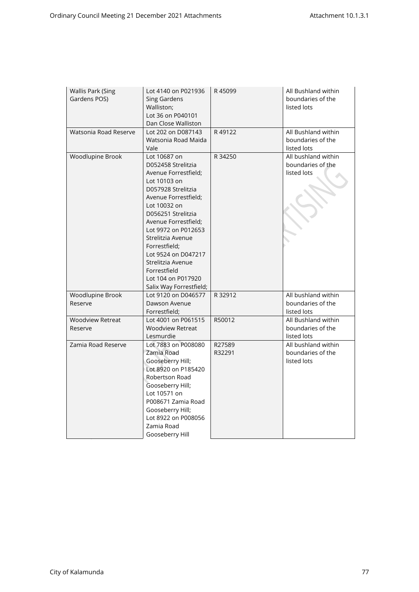| <b>Wallis Park (Sing</b><br>Gardens POS) | Lot 4140 on P021936<br><b>Sing Gardens</b><br>Walliston;<br>Lot 36 on P040101<br>Dan Close Walliston                                                                                                                                                                                                                                                             | R45099           | All Bushland within<br>boundaries of the<br>listed lots |
|------------------------------------------|------------------------------------------------------------------------------------------------------------------------------------------------------------------------------------------------------------------------------------------------------------------------------------------------------------------------------------------------------------------|------------------|---------------------------------------------------------|
| Watsonia Road Reserve                    | Lot 202 on D087143<br>Watsonia Road Maida<br>Vale                                                                                                                                                                                                                                                                                                                | R49122           | All Bushland within<br>boundaries of the<br>listed lots |
| Woodlupine Brook                         | Lot 10687 on<br>D052458 Strelitzia<br>Avenue Forrestfield;<br>Lot 10103 on<br>D057928 Strelitzia<br>Avenue Forrestfield;<br>Lot 10032 on<br>D056251 Strelitzia<br>Avenue Forrestfield;<br>Lot 9972 on P012653<br>Strelitzia Avenue<br>Forrestfield;<br>Lot 9524 on D047217<br>Strelitzia Avenue<br>Forrestfield<br>Lot 104 on P017920<br>Salix Way Forrestfield; | R 34250          | All bushland within<br>boundaries of the<br>listed lots |
| Woodlupine Brook<br>Reserve              | Lot 9120 on D046577<br>Dawson Avenue<br>Forrestfield;                                                                                                                                                                                                                                                                                                            | R 32912          | All bushland within<br>boundaries of the<br>listed lots |
| <b>Woodview Retreat</b><br>Reserve       | Lot 4001 on P061515<br><b>Woodview Retreat</b><br>Lesmurdie                                                                                                                                                                                                                                                                                                      | R50012           | All Bushland within<br>boundaries of the<br>listed lots |
| Zamia Road Reserve                       | Lot 7883 on P008080<br>Zamia Road<br>Gooseberry Hill;<br>Lot 8920 on P185420<br>Robertson Road<br>Gooseberry Hill;<br>Lot 10571 on<br>P008671 Zamia Road<br>Gooseberry Hill;<br>Lot 8922 on P008056<br>Zamia Road<br>Gooseberry Hill                                                                                                                             | R27589<br>R32291 | All bushland within<br>boundaries of the<br>listed lots |